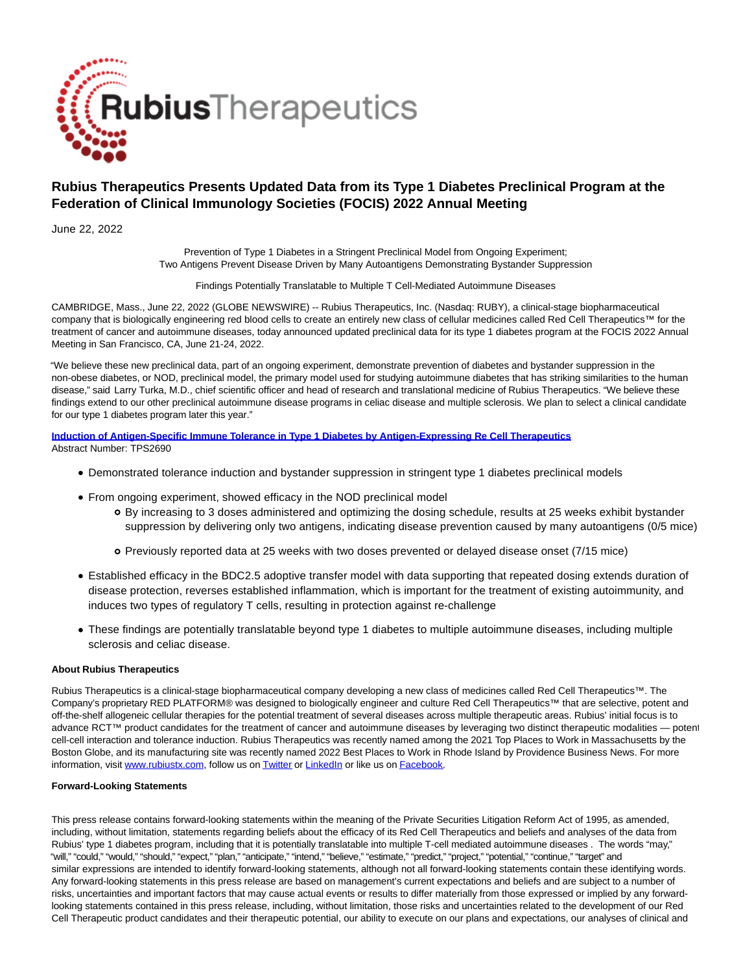

# **Rubius Therapeutics Presents Updated Data from its Type 1 Diabetes Preclinical Program at the Federation of Clinical Immunology Societies (FOCIS) 2022 Annual Meeting**

June 22, 2022

Prevention of Type 1 Diabetes in a Stringent Preclinical Model from Ongoing Experiment; Two Antigens Prevent Disease Driven by Many Autoantigens Demonstrating Bystander Suppression

Findings Potentially Translatable to Multiple T Cell-Mediated Autoimmune Diseases

CAMBRIDGE, Mass., June 22, 2022 (GLOBE NEWSWIRE) -- Rubius Therapeutics, Inc. (Nasdaq: RUBY), a clinical-stage biopharmaceutical company that is biologically engineering red blood cells to create an entirely new class of cellular medicines called Red Cell Therapeutics™ for the treatment of cancer and autoimmune diseases, today announced updated preclinical data for its type 1 diabetes program at the FOCIS 2022 Annual Meeting in San Francisco, CA, June 21-24, 2022.

"We believe these new preclinical data, part of an ongoing experiment, demonstrate prevention of diabetes and bystander suppression in the non-obese diabetes, or NOD, preclinical model, the primary model used for studying autoimmune diabetes that has striking similarities to the human disease," said Larry Turka, M.D., chief scientific officer and head of research and translational medicine of Rubius Therapeutics. "We believe these findings extend to our other preclinical autoimmune disease programs in celiac disease and multiple sclerosis. We plan to select a clinical candidate for our type 1 diabetes program later this year."

# **[Induction of Antigen-Specific Immune Tolerance in Type 1 Diabetes by Antigen-Expressing Re Cell Therapeutics](https://www.globenewswire.com/Tracker?data=zcGPY0NKNDnWqBBoBc-EFeHC4QGQeh-qWFdmBWzToNgSYv4RxRiWe0KSx3ykKu4_Cs3JAsig11szOmqEIflIcbZCljlpqiberrbmLfighkxXPyqWkh490ecx87W6Ge9d9EHuV5BxezSQanTFZGquWbQ8N9IR3iornOqfQ9L8AqkxP1YxsxLINPH0hfRZBOq4nkPWWLEO5JP82bLmT4yTguzQqMo6ZAb7lXeS6L9p62t0f8XXKJdgylAJS9HBaUUq)** Abstract Number: TPS2690

- Demonstrated tolerance induction and bystander suppression in stringent type 1 diabetes preclinical models
- From ongoing experiment, showed efficacy in the NOD preclinical model
	- By increasing to 3 doses administered and optimizing the dosing schedule, results at 25 weeks exhibit bystander suppression by delivering only two antigens, indicating disease prevention caused by many autoantigens (0/5 mice)
	- Previously reported data at 25 weeks with two doses prevented or delayed disease onset (7/15 mice)
- Established efficacy in the BDC2.5 adoptive transfer model with data supporting that repeated dosing extends duration of disease protection, reverses established inflammation, which is important for the treatment of existing autoimmunity, and induces two types of regulatory T cells, resulting in protection against re-challenge
- These findings are potentially translatable beyond type 1 diabetes to multiple autoimmune diseases, including multiple sclerosis and celiac disease.

## **About Rubius Therapeutics**

Rubius Therapeutics is a clinical-stage biopharmaceutical company developing a new class of medicines called Red Cell Therapeutics™. The Company's proprietary RED PLATFORM® was designed to biologically engineer and culture Red Cell Therapeutics™ that are selective, potent and off-the-shelf allogeneic cellular therapies for the potential treatment of several diseases across multiple therapeutic areas. Rubius' initial focus is to advance RCT™ product candidates for the treatment of cancer and autoimmune diseases by leveraging two distinct therapeutic modalities — potent cell-cell interaction and tolerance induction. Rubius Therapeutics was recently named among the 2021 Top Places to Work in Massachusetts by the Boston Globe, and its manufacturing site was recently named 2022 Best Places to Work in Rhode Island by Providence Business News. For more information, visit [www.rubiustx.com,](https://www.globenewswire.com/Tracker?data=1af24wCYZye3Aq0xVcQzOCqh9-02LKBLFr5iGUL_JHs9EhfRLJXMXvD2131tTiPLM9D35GkDwlIw2zft87yz8g==) follow us o[n Twitter o](https://www.globenewswire.com/Tracker?data=AfaJGphITmn3c_XVmeddeGOF6bQltAU0VKH0d6MsE4EFfrR_IWpfapl-4-vuXWYTWsNukgpNHGV_Sc5uT0D5uw==)r [LinkedIn o](https://www.globenewswire.com/Tracker?data=ZdfQAblgc5IVFSVpCeR2oUh25qjrjjrd98CGq_Ld111qjvV5omVW9LgRJDz24aFHMw6_GnhUzdFjWlJ41niPOlv4r8SwaIjt0r4rV62JQQOlwzbqmJO28Xjr_wiFpN3Y)r like us o[n Facebook.](https://www.globenewswire.com/Tracker?data=3YWMdizz5Rw-rn9HpyudOYhCiAo0ty0h-UG8tLa_v_3ord1SFF7XhzzLCC0D8nGjqHZUc80HXlfRqz91G8-OtQ==)

## **Forward-Looking Statements**

This press release contains forward-looking statements within the meaning of the Private Securities Litigation Reform Act of 1995, as amended, including, without limitation, statements regarding beliefs about the efficacy of its Red Cell Therapeutics and beliefs and analyses of the data from Rubius' type 1 diabetes program, including that it is potentially translatable into multiple T-cell mediated autoimmune diseases . The words "may," "will," "could," "would," "should," "expect," "plan," "anticipate," "intend," "believe," "estimate," "predict," "project," "potential," "continue," "target" and similar expressions are intended to identify forward-looking statements, although not all forward-looking statements contain these identifying words. Any forward-looking statements in this press release are based on management's current expectations and beliefs and are subject to a number of risks, uncertainties and important factors that may cause actual events or results to differ materially from those expressed or implied by any forwardlooking statements contained in this press release, including, without limitation, those risks and uncertainties related to the development of our Red Cell Therapeutic product candidates and their therapeutic potential, our ability to execute on our plans and expectations, our analyses of clinical and